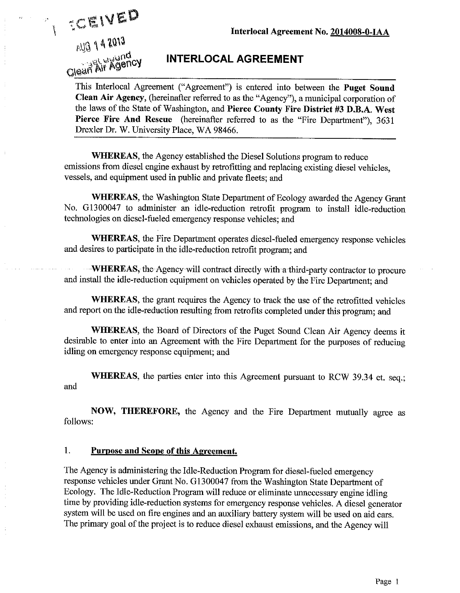

 $\tilde{I}$ 

# **INTERLOCAL AGREEMENT**

This Interlocal Agreement ("Agreement") is entered into between the Puget Sound Clean Air Agency, (hereinafter referred to as the "Agency"), a municipal corporation of the laws of the State of Washington, and Pierce County Fire District #3 D.B.A. West Pierce Fire And Rescue (hereinafter referred to as the "Fire Department"), 3631 Drexler Dr. W. University Place, WA 98466.

**WHEREAS**, the Agency established the Diesel Solutions program to reduce emissions from diesel engine exhaust by retrofitting and replacing existing diesel vehicles, vessels, and equipment used in public and private fleets; and

WHEREAS, the Washington State Department of Ecology awarded the Agency Grant No. G1300047 to administer an idle-reduction retrofit program to install idle-reduction technologies on diesel-fueled emergency response vehicles; and

WHEREAS, the Fire Department operates diesel-fueled emergency response vehicles and desires to participate in the idle-reduction retrofit program; and

**WHEREAS**, the Agency-will contract directly with a third-party contractor to procure and install the idle-reduction equipment on vehicles operated by the Fire Department; and

WHEREAS, the grant requires the Agency to track the use of the retrofitted vehicles and report on the idle-reduction resulting from retrofits completed under this program; and

WHEREAS, the Board of Directors of the Puget Sound Clean Air Agency deems it desirable to enter into an Agreement with the Fire Department for the purposes of reducing idling on emergency response equipment; and

**WHEREAS**, the parties enter into this Agreement pursuant to RCW 39.34 et. seq.: and

NOW, THEREFORE, the Agency and the Fire Department mutually agree as follows:

#### 1. **Purpose and Scope of this Agreement.**

The Agency is administering the Idle-Reduction Program for diesel-fueled emergency response vehicles under Grant No. G1300047 from the Washington State Department of Ecology. The Idle-Reduction Program will reduce or eliminate unnecessary engine idling time by providing idle-reduction systems for emergency response vehicles. A diesel generator system will be used on fire engines and an auxiliary battery system will be used on aid cars. The primary goal of the project is to reduce diesel exhaust emissions, and the Agency will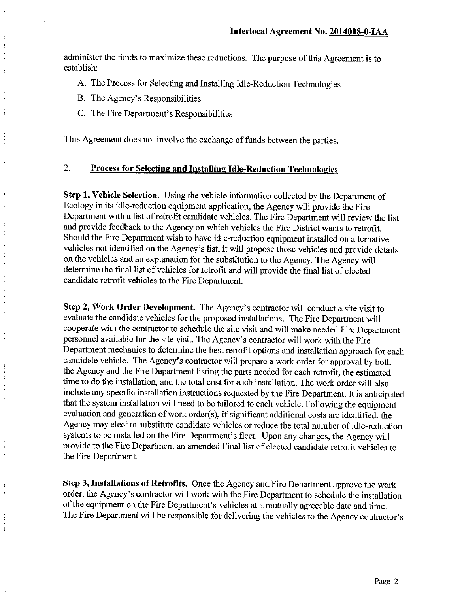administer the funds to maximize these reductions. The purpose of this Agreement is to establish:

- A. The Process for Selecting and Installing Idle-Reduction Technologies
- B. The Agency's Responsibilities
- C. The Fire Department's Responsibilities

This Agreement does not involve the exchange of funds between the parties.

## $\overline{2}$ . **Process for Selecting and Installing Idle-Reduction Technologies**

Step 1, Vehicle Selection. Using the vehicle information collected by the Department of Ecology in its idle-reduction equipment application, the Agency will provide the Fire Department with a list of retrofit candidate vehicles. The Fire Department will review the list and provide feedback to the Agency on which vehicles the Fire District wants to retrofit. Should the Fire Department wish to have idle-reduction equipment installed on alternative vehicles not identified on the Agency's list, it will propose those vehicles and provide details on the vehicles and an explanation for the substitution to the Agency. The Agency will determine the final list of vehicles for retrofit and will provide the final list of elected candidate retrofit vehicles to the Fire Department.

Step 2, Work Order Development. The Agency's contractor will conduct a site visit to evaluate the candidate vehicles for the proposed installations. The Fire Department will cooperate with the contractor to schedule the site visit and will make needed Fire Department personnel available for the site visit. The Agency's contractor will work with the Fire Department mechanics to determine the best retrofit options and installation approach for each candidate vehicle. The Agency's contractor will prepare a work order for approval by both the Agency and the Fire Department listing the parts needed for each retrofit, the estimated time to do the installation, and the total cost for each installation. The work order will also include any specific installation instructions requested by the Fire Department. It is anticipated that the system installation will need to be tailored to each vehicle. Following the equipment evaluation and generation of work order(s), if significant additional costs are identified, the Agency may elect to substitute candidate vehicles or reduce the total number of idle-reduction systems to be installed on the Fire Department's fleet. Upon any changes, the Agency will provide to the Fire Department an amended Final list of elected candidate retrofit vehicles to the Fire Department.

Step 3, Installations of Retrofits. Once the Agency and Fire Department approve the work order, the Agency's contractor will work with the Fire Department to schedule the installation of the equipment on the Fire Department's vehicles at a mutually agreeable date and time. The Fire Department will be responsible for delivering the vehicles to the Agency contractor's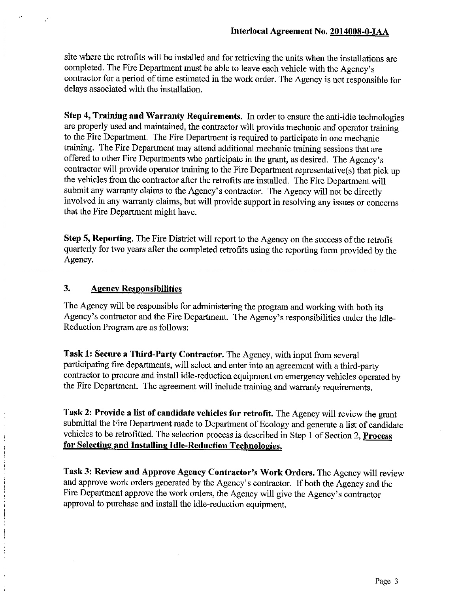site where the retrofits will be installed and for retrieving the units when the installations are completed. The Fire Department must be able to leave each vehicle with the Agency's contractor for a period of time estimated in the work order. The Agency is not responsible for delays associated with the installation.

Step 4, Training and Warranty Requirements. In order to ensure the anti-idle technologies are properly used and maintained, the contractor will provide mechanic and operator training to the Fire Department. The Fire Department is required to participate in one mechanic training. The Fire Department may attend additional mechanic training sessions that are offered to other Fire Departments who participate in the grant, as desired. The Agency's contractor will provide operator training to the Fire Department representative(s) that pick up the vehicles from the contractor after the retrofits are installed. The Fire Department will submit any warranty claims to the Agency's contractor. The Agency will not be directly involved in any warranty claims, but will provide support in resolving any issues or concerns that the Fire Department might have.

Step 5, Reporting. The Fire District will report to the Agency on the success of the retrofit quarterly for two years after the completed retrofits using the reporting form provided by the Agency.

#### 3. **Agency Responsibilities**

The Agency will be responsible for administering the program and working with both its Agency's contractor and the Fire Department. The Agency's responsibilities under the Idle-Reduction Program are as follows:

Task 1: Secure a Third-Party Contractor. The Agency, with input from several participating fire departments, will select and enter into an agreement with a third-party contractor to procure and install idle-reduction equipment on emergency vehicles operated by the Fire Department. The agreement will include training and warranty requirements.

Task 2: Provide a list of candidate vehicles for retrofit. The Agency will review the grant submittal the Fire Department made to Department of Ecology and generate a list of candidate vehicles to be retrofitted. The selection process is described in Step 1 of Section 2, Process for Selecting and Installing Idle-Reduction Technologies.

Task 3: Review and Approve Agency Contractor's Work Orders. The Agency will review and approve work orders generated by the Agency's contractor. If both the Agency and the Fire Department approve the work orders, the Agency will give the Agency's contractor approval to purchase and install the idle-reduction equipment.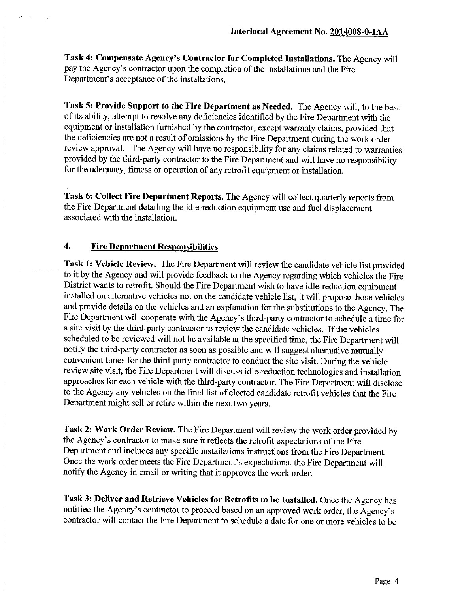Task 4: Compensate Agency's Contractor for Completed Installations. The Agency will pay the Agency's contractor upon the completion of the installations and the Fire Department's acceptance of the installations.

Task 5: Provide Support to the Fire Department as Needed. The Agency will, to the best of its ability, attempt to resolve any deficiencies identified by the Fire Department with the equipment or installation furnished by the contractor, except warranty claims, provided that the deficiencies are not a result of omissions by the Fire Department during the work order review approval. The Agency will have no responsibility for any claims related to warranties provided by the third-party contractor to the Fire Department and will have no responsibility for the adequacy, fitness or operation of any retrofit equipment or installation,

Task 6: Collect Fire Department Reports. The Agency will collect quarterly reports from the Fire Department detailing the idle-reduction equipment use and fuel displacement associated with the installation.

## $\boldsymbol{4}$ . **Fire Department Responsibilities**

Task 1: Vehicle Review. The Fire Department will review the candidate vehicle list provided to it by the Agency and will provide feedback to the Agency regarding which vehicles the Fire District wants to retrofit. Should the Fire Department wish to have idle-reduction equipment installed on alternative vehicles not on the candidate vehicle list, it will propose those vehicles and provide details on the vehicles and an explanation for the substitutions to the Agency. The Fire Department will cooperate with the Agency's third-party contractor to schedule a time for a site visit by the third-party contractor to review the candidate vehicles. If the vehicles scheduled to be reviewed will not be available at the specified time, the Fire Department will notify the third-party contractor as soon as possible and will suggest alternative mutually convenient times for the third-party contractor to conduct the site visit. During the vehicle review site visit, the Fire Department will discuss idle-reduction technologies and installation approaches for each vehicle with the third-party contractor. The Fire Department will disclose to the Agency any vehicles on the final list of elected candidate retrofit vehicles that the Fire Department might sell or retire within the next two years.

Task 2: Work Order Review. The Fire Department will review the work order provided by the Agency's contractor to make sure it reflects the retrofit expectations of the Fire Department and includes any specific installations instructions from the Fire Department. Once the work order meets the Fire Department's expectations, the Fire Department will notify the Agency in email or writing that it approves the work order.

Task 3: Deliver and Retrieve Vehicles for Retrofits to be Installed. Once the Agency has notified the Agency's contractor to proceed based on an approved work order, the Agency's contractor will contact the Fire Department to schedule a date for one or more vehicles to be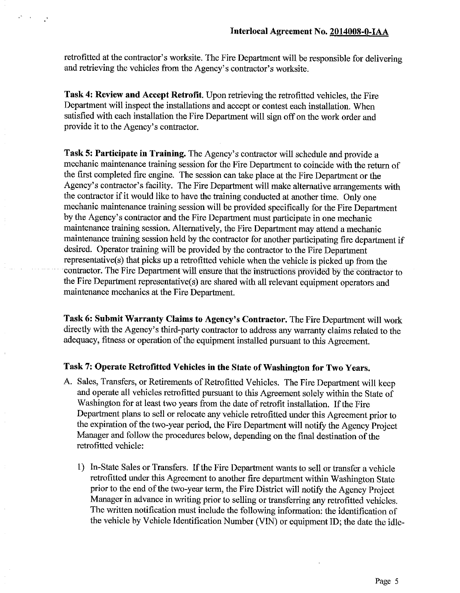retrofitted at the contractor's worksite. The Fire Department will be responsible for delivering and retrieving the vehicles from the Agency's contractor's worksite.

Task 4: Review and Accept Retrofit. Upon retrieving the retrofitted vehicles, the Fire Department will inspect the installations and accept or contest each installation. When satisfied with each installation the Fire Department will sign off on the work order and provide it to the Agency's contractor.

Task 5: Participate in Training. The Agency's contractor will schedule and provide a mechanic maintenance training session for the Fire Department to coincide with the return of the first completed fire engine. The session can take place at the Fire Department or the Agency's contractor's facility. The Fire Department will make alternative arrangements with the contractor if it would like to have the training conducted at another time. Only one mechanic maintenance training session will be provided specifically for the Fire Department by the Agency's contractor and the Fire Department must participate in one mechanic maintenance training session. Alternatively, the Fire Department may attend a mechanic maintenance training session held by the contractor for another participating fire department if desired. Operator training will be provided by the contractor to the Fire Department representative(s) that picks up a retrofitted vehicle when the vehicle is picked up from the contractor. The Fire Department will ensure that the instructions provided by the contractor to the Fire Department representative(s) are shared with all relevant equipment operators and maintenance mechanics at the Fire Department.

Task 6: Submit Warranty Claims to Agency's Contractor. The Fire Department will work directly with the Agency's third-party contractor to address any warranty claims related to the adequacy, fitness or operation of the equipment installed pursuant to this Agreement.

# Task 7: Operate Retrofitted Vehicles in the State of Washington for Two Years.

- A. Sales, Transfers, or Retirements of Retrofitted Vehicles. The Fire Department will keep and operate all vehicles retrofitted pursuant to this Agreement solely within the State of Washington for at least two years from the date of retrofit installation. If the Fire Department plans to sell or relocate any vehicle retrofitted under this Agreement prior to the expiration of the two-year period, the Fire Department will notify the Agency Project Manager and follow the procedures below, depending on the final destination of the retrofitted vehicle:
	- 1) In-State Sales or Transfers. If the Fire Department wants to sell or transfer a vehicle retrofitted under this Agreement to another fire department within Washington State prior to the end of the two-year term, the Fire District will notify the Agency Project Manager in advance in writing prior to selling or transferring any retrofitted vehicles. The written notification must include the following information: the identification of the vehicle by Vehicle Identification Number (VIN) or equipment ID; the date the idle-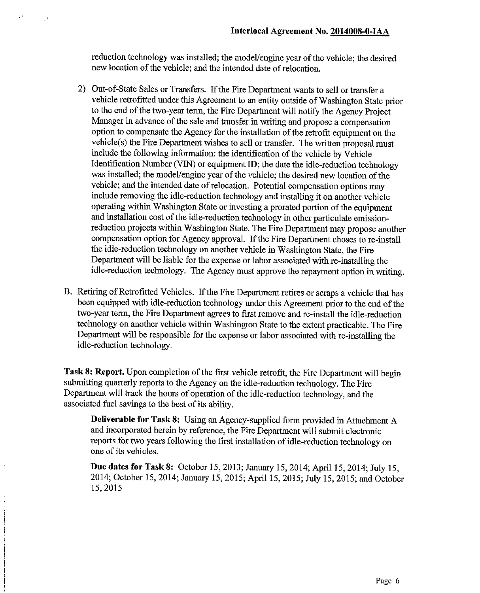reduction technology was installed; the model/engine year of the vehicle; the desired new location of the vehicle; and the intended date of relocation.

- 2) Out-of-State Sales or Transfers. If the Fire Department wants to sell or transfer a vehicle retrofitted under this Agreement to an entity outside of Washington State prior to the end of the two-year term, the Fire Department will notify the Agency Project Manager in advance of the sale and transfer in writing and propose a compensation option to compensate the Agency for the installation of the retrofit equipment on the vehicle(s) the Fire Department wishes to sell or transfer. The written proposal must include the following information: the identification of the vehicle by Vehicle Identification Number (VIN) or equipment ID; the date the idle-reduction technology was installed; the model/engine year of the vehicle; the desired new location of the vehicle; and the intended date of relocation. Potential compensation options may include removing the idle-reduction technology and installing it on another vehicle operating within Washington State or investing a prorated portion of the equipment and installation cost of the idle-reduction technology in other particulate emissionreduction projects within Washington State. The Fire Department may propose another compensation option for Agency approval. If the Fire Department choses to re-install the idle-reduction technology on another vehicle in Washington State, the Fire Department will be liable for the expense or labor associated with re-installing the idle-reduction technology. The Agency must approve the repayment option in writing.
- B. Retiring of Retrofitted Vehicles. If the Fire Department retires or scraps a vehicle that has been equipped with idle-reduction technology under this Agreement prior to the end of the two-year term, the Fire Department agrees to first remove and re-install the idle-reduction technology on another vehicle within Washington State to the extent practicable. The Fire Department will be responsible for the expense or labor associated with re-installing the idle-reduction technology.

Task 8: Report. Upon completion of the first vehicle retrofit, the Fire Department will begin submitting quarterly reports to the Agency on the idle-reduction technology. The Fire Department will track the hours of operation of the idle-reduction technology, and the associated fuel savings to the best of its ability.

**Deliverable for Task 8:** Using an Agency-supplied form provided in Attachment A and incorporated herein by reference, the Fire Department will submit electronic reports for two years following the first installation of idle-reduction technology on one of its vehicles.

Due dates for Task 8: October 15, 2013; January 15, 2014; April 15, 2014; July 15, 2014; October 15, 2014; January 15, 2015; April 15, 2015; July 15, 2015; and October 15,2015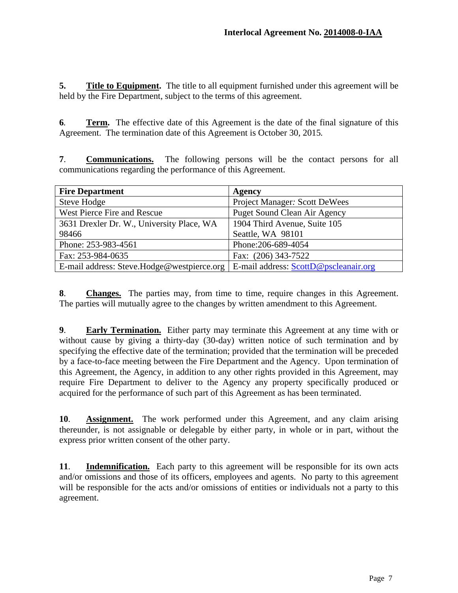**5.** Title to Equipment. The title to all equipment furnished under this agreement will be held by the Fire Department, subject to the terms of this agreement.

**6***.* **Term.** The effective date of this Agreement is the date of the final signature of this Agreement. The termination date of this Agreement is October 30, 2015*.* 

**7**. **Communications.** The following persons will be the contact persons for all communications regarding the performance of this Agreement.

| <b>Fire Department</b>                     | Agency                                |
|--------------------------------------------|---------------------------------------|
| Steve Hodge                                | <b>Project Manager: Scott DeWees</b>  |
| West Pierce Fire and Rescue                | <b>Puget Sound Clean Air Agency</b>   |
| 3631 Drexler Dr. W., University Place, WA  | 1904 Third Avenue, Suite 105          |
| 98466                                      | Seattle, WA 98101                     |
| Phone: 253-983-4561                        | Phone: 206-689-4054                   |
| Fax: 253-984-0635                          | Fax: (206) 343-7522                   |
| E-mail address: Steve.Hodge@westpierce.org | E-mail address: ScottD@pscleanair.org |

**8**. **Changes.** The parties may, from time to time, require changes in this Agreement. The parties will mutually agree to the changes by written amendment to this Agreement.

**9**. **Early Termination.** Either party may terminate this Agreement at any time with or without cause by giving a thirty-day (30-day) written notice of such termination and by specifying the effective date of the termination; provided that the termination will be preceded by a face-to-face meeting between the Fire Department and the Agency. Upon termination of this Agreement, the Agency, in addition to any other rights provided in this Agreement, may require Fire Department to deliver to the Agency any property specifically produced or acquired for the performance of such part of this Agreement as has been terminated.

**10**. **Assignment.** The work performed under this Agreement, and any claim arising thereunder, is not assignable or delegable by either party, in whole or in part, without the express prior written consent of the other party.

**11**. **Indemnification.** Each party to this agreement will be responsible for its own acts and/or omissions and those of its officers, employees and agents. No party to this agreement will be responsible for the acts and/or omissions of entities or individuals not a party to this agreement.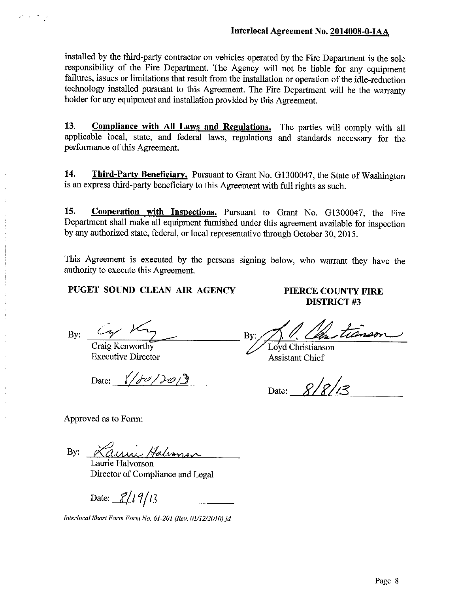installed by the third-party contractor on vehicles operated by the Fire Department is the sole responsibility of the Fire Department. The Agency will not be liable for any equipment failures, issues or limitations that result from the installation or operation of the idle-reduction technology installed pursuant to this Agreement. The Fire Department will be the warranty holder for any equipment and installation provided by this Agreement.

13. **Compliance with All Laws and Regulations.** The parties will comply with all applicable local, state, and federal laws, regulations and standards necessary for the performance of this Agreement.

14. **Third-Party Beneficiary.** Pursuant to Grant No. G1300047, the State of Washington is an express third-party beneficiary to this Agreement with full rights as such.

Cooperation with Inspections. Pursuant to Grant No. G1300047, the Fire 15. Department shall make all equipment furnished under this agreement available for inspection by any authorized state, federal, or local representative through October 30, 2015.

This Agreement is executed by the persons signing below, who warrant they have the authority to execute this Agreement.

PUGET SOUND CLEAN AIR AGENCY

By:

Craig Kenworthy

**Executive Director** 

Date:  $\frac{1}{2}$ 

PIERCE COUNTY FIRE **DISTRICT#3** 

tianson By:

Loyd Christianson **Assistant Chief** 

Date:  $8/8/13$ 

Approved as to Form:

Laurie Halvanon By:

Laurie Halvorson Director of Compliance and Legal

Date:  $\frac{8}{19}$   $\frac{19}{13}$ 

Interlocal Short Form Form No. 61-201 (Rev. 01/12/2010) id